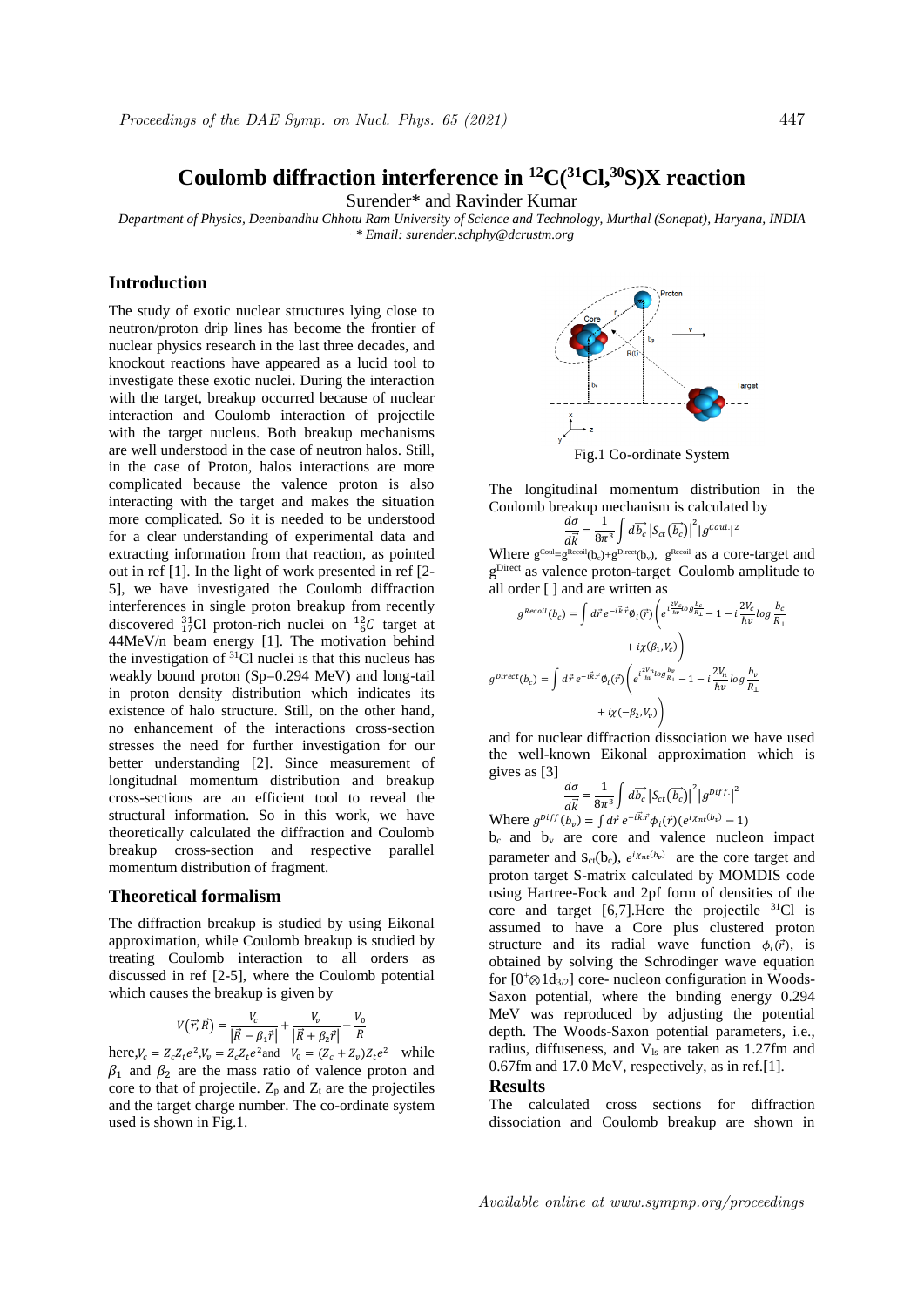# Coulomb diffraction interference in  ${}^{12}C(^{31}Cl, {}^{30}S)X$  reaction

Surender\* and Ravinder Kumar

*Department of Physics, Deenbandhu Chhotu Ram University of Science and Technology, Murthal (Sonepat), Haryana, INDIA . \* Email: surender.schphy@dcrustm.org*

## **Introduction**

The study of exotic nuclear structures lying close to neutron/proton drip lines has become the frontier of nuclear physics research in the last three decades, and knockout reactions have appeared as a lucid tool to investigate these exotic nuclei. During the interaction with the target, breakup occurred because of nuclear interaction and Coulomb interaction of projectile with the target nucleus. Both breakup mechanisms are well understood in the case of neutron halos. Still, in the case of Proton, halos interactions are more complicated because the valence proton is also interacting with the target and makes the situation more complicated. So it is needed to be understood for a clear understanding of experimental data and extracting information from that reaction, as pointed out in ref [1]. In the light of work presented in ref [2- 5], we have investigated the Coulomb diffraction interferences in single proton breakup from recently discovered  $^{31}_{17}$ Cl proton-rich nuclei on  $^{12}_{6}$ C target at 44MeV/n beam energy [1]. The motivation behind the investigation of  ${}^{31}$ Cl nuclei is that this nucleus has weakly bound proton (Sp=0.294 MeV) and long-tail in proton density distribution which indicates its existence of halo structure. Still, on the other hand, no enhancement of the interactions cross-section stresses the need for further investigation for our better understanding [2]. Since measurement of longitudnal momentum distribution and breakup cross-sections are an efficient tool to reveal the structural information. So in this work, we have theoretically calculated the diffraction and Coulomb breakup cross-section and respective parallel momentum distribution of fragment.

### **Theoretical formalism**

The diffraction breakup is studied by using Eikonal approximation, while Coulomb breakup is studied by treating Coulomb interaction to all orders as discussed in ref [2-5], where the Coulomb potential which causes the breakup is given by

$$
V(\vec{r}, \vec{R}) = \frac{V_c}{|\vec{R} - \beta_1 \vec{r}|} + \frac{V_v}{|\vec{R} + \beta_2 \vec{r}|} - \frac{V_0}{R}
$$

here,  $V_c = Z_c Z_t e^2$ ,  $V_v = Z_c Z_t e^2$  and  $V_0 = (Z_c + Z_v) Z_t e^2$  while  $\beta_1$  and  $\beta_2$  are the mass ratio of valence proton and core to that of projectile.  $Z_p$  and  $Z_t$  are the projectiles and the target charge number. The co-ordinate system used is shown in Fig.1.



The longitudinal momentum distribution in the Coulomb breakup mechanism is calculated by

$$
\frac{d\sigma}{d\vec{k}} = \frac{1}{8\pi^3} \int d\vec{b_c} |S_{ct}(\vec{b_c})|^2 |g^{Coul}|^2
$$

Where  $g^{Coul} = g^{Recoil}(b_c) + g^{Direct}(b_v)$ ,  $g^{Recoil}$  as a core-target and g<sup>Direct</sup> as valence proton-target Coulomb amplitude to all order [ ] and are written as

$$
\begin{split} g^{Recoil}(b_c) &= \int d\vec{r} \, e^{-i\vec{k}.\vec{r}} \phi_i(\vec{r}) \left( e^{i\frac{2V_c}{h\nu} log\frac{b_c}{R_{\perp}}} - 1 - i\frac{2V_c}{\hbar\nu} log\frac{b_c}{R_{\perp}} \right. \\ &\left. + i\chi(\beta_1,V_c) \right) \\ g^{Direct}(b_c) &= \int d\vec{r} \, e^{-i\vec{k}.\vec{r}} \phi_i(\vec{r}) \left( e^{i\frac{2V_n}{\hbar\nu} log\frac{b_v}{R_{\perp}}} - 1 - i\frac{2V_n}{\hbar\nu} log\frac{b_v}{R_{\perp}} \right. \\ &\left. + i\chi(-\beta_2,V_\nu) \right) \end{split}
$$

and for nuclear diffraction dissociation we have used the well-known Eikonal approximation which is gives as [3]

$$
\frac{d\sigma}{d\vec{k}} = \frac{1}{8\pi^3} \int d\vec{b_c} |S_{ct}(\vec{b_c})|^2 |g^{Diff}|^2
$$

Where  $g^{Diff}(b_v) = \int d\vec{r} e^{-i\vec{k} \cdot \vec{r}} \phi_i(\vec{r}) (e^{i\chi_{nt}(b_v)} - 1)$ 

 $b_c$  and  $b_v$  are core and valence nucleon impact parameter and  $S_{ct}(b_c)$ ,  $e^{i\chi_{nt}(b_v)}$  are the core target and proton target S-matrix calculated by MOMDIS code using Hartree-Fock and 2pf form of densities of the core and target  $[6,7]$ . Here the projectile  ${}^{31}Cl$  is assumed to have a Core plus clustered proton structure and its radial wave function  $\phi_i(\vec{r})$ , is obtained by solving the Schrodinger wave equation for  $[0^+\otimes 1d_{3/2}]$  core- nucleon configuration in Woods-Saxon potential, where the binding energy 0.294 MeV was reproduced by adjusting the potential depth. The Woods-Saxon potential parameters, i.e., radius, diffuseness, and  $V_{ls}$  are taken as 1.27fm and 0.67fm and 17.0 MeV, respectively, as in ref.[1].

#### **Results**

The calculated cross sections for diffraction dissociation and Coulomb breakup are shown in